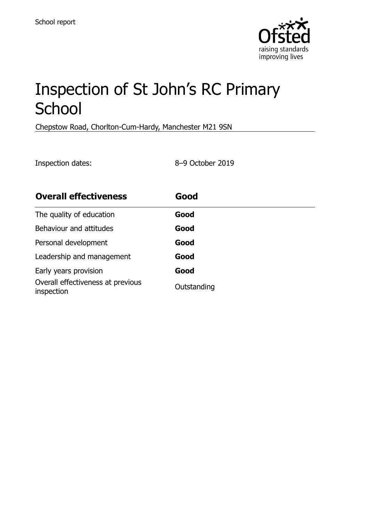

# Inspection of St John's RC Primary **School**

Chepstow Road, Chorlton-Cum-Hardy, Manchester M21 9SN

Inspection dates: 8–9 October 2019

| <b>Overall effectiveness</b>                    | Good        |
|-------------------------------------------------|-------------|
| The quality of education                        | Good        |
| Behaviour and attitudes                         | Good        |
| Personal development                            | Good        |
| Leadership and management                       | Good        |
| Early years provision                           | Good        |
| Overall effectiveness at previous<br>inspection | Outstanding |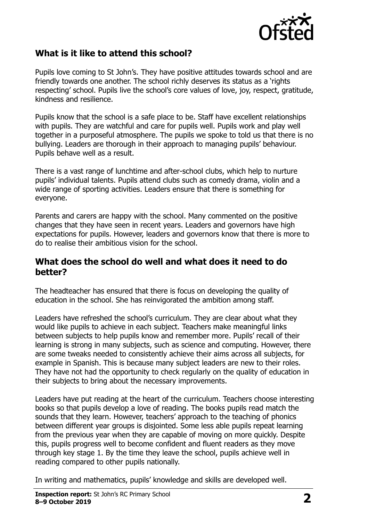

### **What is it like to attend this school?**

Pupils love coming to St John's. They have positive attitudes towards school and are friendly towards one another. The school richly deserves its status as a 'rights respecting' school. Pupils live the school's core values of love, joy, respect, gratitude, kindness and resilience.

Pupils know that the school is a safe place to be. Staff have excellent relationships with pupils. They are watchful and care for pupils well. Pupils work and play well together in a purposeful atmosphere. The pupils we spoke to told us that there is no bullying. Leaders are thorough in their approach to managing pupils' behaviour. Pupils behave well as a result.

There is a vast range of lunchtime and after-school clubs, which help to nurture pupils' individual talents. Pupils attend clubs such as comedy drama, violin and a wide range of sporting activities. Leaders ensure that there is something for everyone.

Parents and carers are happy with the school. Many commented on the positive changes that they have seen in recent years. Leaders and governors have high expectations for pupils. However, leaders and governors know that there is more to do to realise their ambitious vision for the school.

#### **What does the school do well and what does it need to do better?**

The headteacher has ensured that there is focus on developing the quality of education in the school. She has reinvigorated the ambition among staff.

Leaders have refreshed the school's curriculum. They are clear about what they would like pupils to achieve in each subject. Teachers make meaningful links between subjects to help pupils know and remember more. Pupils' recall of their learning is strong in many subjects, such as science and computing. However, there are some tweaks needed to consistently achieve their aims across all subjects, for example in Spanish. This is because many subject leaders are new to their roles. They have not had the opportunity to check regularly on the quality of education in their subjects to bring about the necessary improvements.

Leaders have put reading at the heart of the curriculum. Teachers choose interesting books so that pupils develop a love of reading. The books pupils read match the sounds that they learn. However, teachers' approach to the teaching of phonics between different year groups is disjointed. Some less able pupils repeat learning from the previous year when they are capable of moving on more quickly. Despite this, pupils progress well to become confident and fluent readers as they move through key stage 1. By the time they leave the school, pupils achieve well in reading compared to other pupils nationally.

In writing and mathematics, pupils' knowledge and skills are developed well.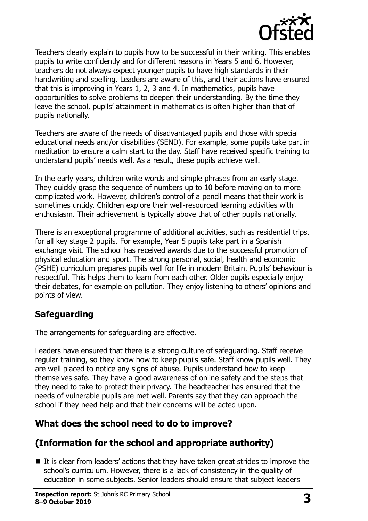

Teachers clearly explain to pupils how to be successful in their writing. This enables pupils to write confidently and for different reasons in Years 5 and 6. However, teachers do not always expect younger pupils to have high standards in their handwriting and spelling. Leaders are aware of this, and their actions have ensured that this is improving in Years 1, 2, 3 and 4. In mathematics, pupils have opportunities to solve problems to deepen their understanding. By the time they leave the school, pupils' attainment in mathematics is often higher than that of pupils nationally.

Teachers are aware of the needs of disadvantaged pupils and those with special educational needs and/or disabilities (SEND). For example, some pupils take part in meditation to ensure a calm start to the day. Staff have received specific training to understand pupils' needs well. As a result, these pupils achieve well.

In the early years, children write words and simple phrases from an early stage. They quickly grasp the sequence of numbers up to 10 before moving on to more complicated work. However, children's control of a pencil means that their work is sometimes untidy. Children explore their well-resourced learning activities with enthusiasm. Their achievement is typically above that of other pupils nationally.

There is an exceptional programme of additional activities, such as residential trips, for all key stage 2 pupils. For example, Year 5 pupils take part in a Spanish exchange visit. The school has received awards due to the successful promotion of physical education and sport. The strong personal, social, health and economic (PSHE) curriculum prepares pupils well for life in modern Britain. Pupils' behaviour is respectful. This helps them to learn from each other. Older pupils especially enjoy their debates, for example on pollution. They enjoy listening to others' opinions and points of view.

## **Safeguarding**

The arrangements for safeguarding are effective.

Leaders have ensured that there is a strong culture of safeguarding. Staff receive regular training, so they know how to keep pupils safe. Staff know pupils well. They are well placed to notice any signs of abuse. Pupils understand how to keep themselves safe. They have a good awareness of online safety and the steps that they need to take to protect their privacy. The headteacher has ensured that the needs of vulnerable pupils are met well. Parents say that they can approach the school if they need help and that their concerns will be acted upon.

## **What does the school need to do to improve?**

## **(Information for the school and appropriate authority)**

 $\blacksquare$  It is clear from leaders' actions that they have taken great strides to improve the school's curriculum. However, there is a lack of consistency in the quality of education in some subjects. Senior leaders should ensure that subject leaders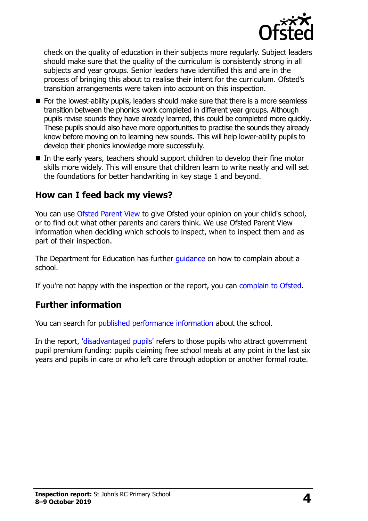

check on the quality of education in their subjects more regularly. Subject leaders should make sure that the quality of the curriculum is consistently strong in all subjects and year groups. Senior leaders have identified this and are in the process of bringing this about to realise their intent for the curriculum. Ofsted's transition arrangements were taken into account on this inspection.

- For the lowest-ability pupils, leaders should make sure that there is a more seamless transition between the phonics work completed in different year groups. Although pupils revise sounds they have already learned, this could be completed more quickly. These pupils should also have more opportunities to practise the sounds they already know before moving on to learning new sounds. This will help lower-ability pupils to develop their phonics knowledge more successfully.
- In the early years, teachers should support children to develop their fine motor skills more widely. This will ensure that children learn to write neatly and will set the foundations for better handwriting in key stage 1 and beyond.

#### **How can I feed back my views?**

You can use [Ofsted Parent View](http://parentview.ofsted.gov.uk/) to give Ofsted your opinion on your child's school, or to find out what other parents and carers think. We use Ofsted Parent View information when deciding which schools to inspect, when to inspect them and as part of their inspection.

The Department for Education has further [guidance](http://www.gov.uk/complain-about-school) on how to complain about a school.

If you're not happy with the inspection or the report, you can [complain to Ofsted.](http://www.gov.uk/complain-ofsted-report)

#### **Further information**

You can search for [published performance information](http://www.compare-school-performance.service.gov.uk/) about the school.

In the report, ['disadvantaged pupils'](http://www.gov.uk/guidance/pupil-premium-information-for-schools-and-alternative-provision-settings) refers to those pupils who attract government pupil premium funding: pupils claiming free school meals at any point in the last six years and pupils in care or who left care through adoption or another formal route.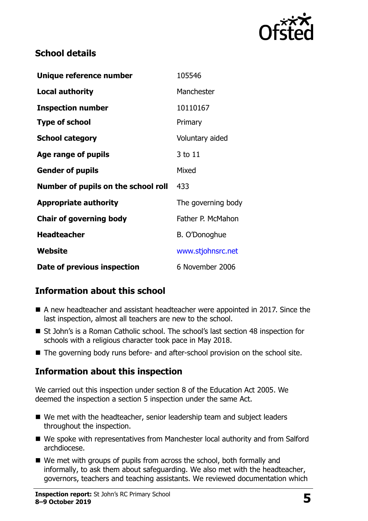

## **School details**

| Unique reference number             | 105546             |
|-------------------------------------|--------------------|
| <b>Local authority</b>              | Manchester         |
| <b>Inspection number</b>            | 10110167           |
| <b>Type of school</b>               | Primary            |
| <b>School category</b>              | Voluntary aided    |
| Age range of pupils                 | 3 to 11            |
| <b>Gender of pupils</b>             | Mixed              |
| Number of pupils on the school roll | 433                |
| <b>Appropriate authority</b>        | The governing body |
| <b>Chair of governing body</b>      | Father P. McMahon  |
| <b>Headteacher</b>                  | B. O'Donoghue      |
| <b>Website</b>                      | www.stjohnsrc.net  |
| Date of previous inspection         | 6 November 2006    |

## **Information about this school**

- A new headteacher and assistant headteacher were appointed in 2017. Since the last inspection, almost all teachers are new to the school.
- St John's is a Roman Catholic school. The school's last section 48 inspection for schools with a religious character took pace in May 2018.
- The governing body runs before- and after-school provision on the school site.

## **Information about this inspection**

We carried out this inspection under section 8 of the Education Act 2005. We deemed the inspection a section 5 inspection under the same Act.

- We met with the headteacher, senior leadership team and subject leaders throughout the inspection.
- We spoke with representatives from Manchester local authority and from Salford archdiocese.
- We met with groups of pupils from across the school, both formally and informally, to ask them about safeguarding. We also met with the headteacher, governors, teachers and teaching assistants. We reviewed documentation which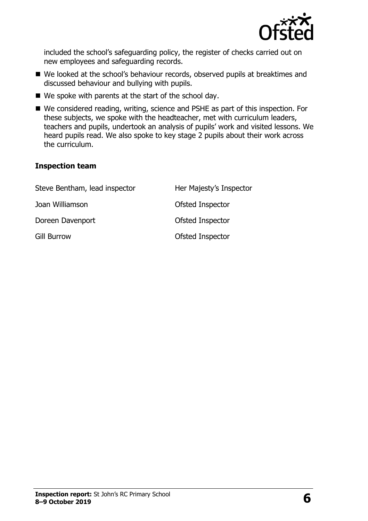

included the school's safeguarding policy, the register of checks carried out on new employees and safeguarding records.

- We looked at the school's behaviour records, observed pupils at breaktimes and discussed behaviour and bullying with pupils.
- $\blacksquare$  We spoke with parents at the start of the school day.
- We considered reading, writing, science and PSHE as part of this inspection. For these subjects, we spoke with the headteacher, met with curriculum leaders, teachers and pupils, undertook an analysis of pupils' work and visited lessons. We heard pupils read. We also spoke to key stage 2 pupils about their work across the curriculum.

#### **Inspection team**

| Steve Bentham, lead inspector | Her Majesty's Inspector |
|-------------------------------|-------------------------|
| Joan Williamson               | Ofsted Inspector        |
| Doreen Davenport              | Ofsted Inspector        |
| <b>Gill Burrow</b>            | Ofsted Inspector        |